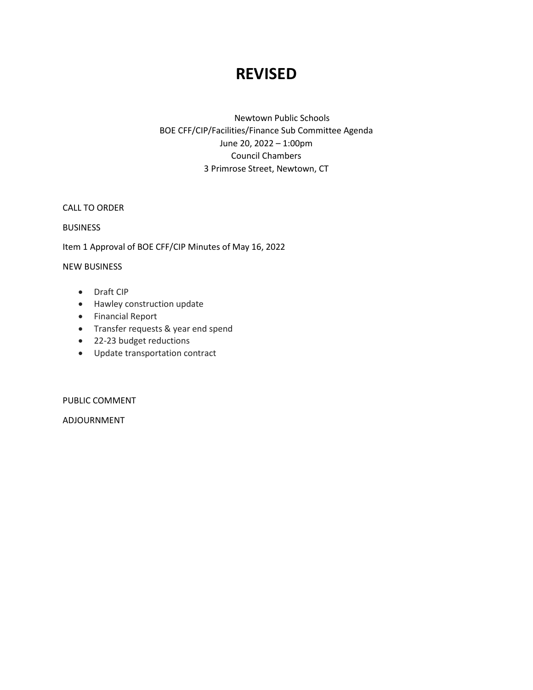# **REVISED**

Newtown Public Schools BOE CFF/CIP/Facilities/Finance Sub Committee Agenda June 20, 2022 – 1:00pm Council Chambers 3 Primrose Street, Newtown, CT

CALL TO ORDER

#### **BUSINESS**

Item 1 Approval of BOE CFF/CIP Minutes of May 16, 2022

#### NEW BUSINESS

- Draft CIP
- Hawley construction update
- Financial Report
- Transfer requests & year end spend
- 22-23 budget reductions
- Update transportation contract

PUBLIC COMMENT

ADJOURNMENT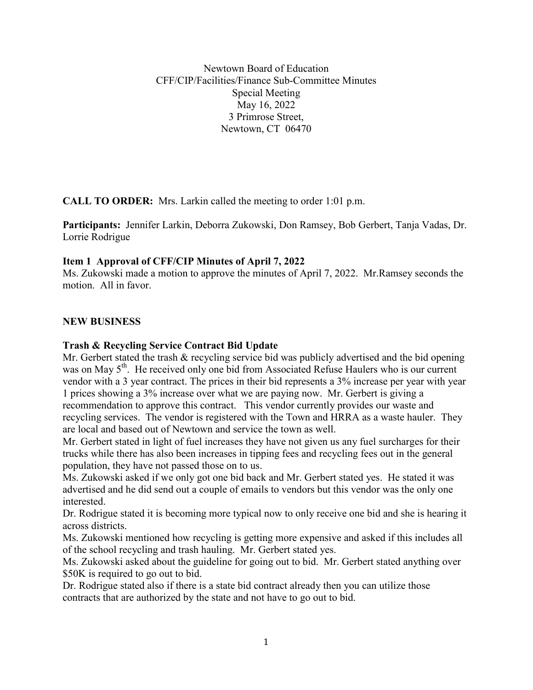Newtown Board of Education CFF/CIP/Facilities/Finance Sub-Committee Minutes Special Meeting May 16, 2022 3 Primrose Street, Newtown, CT 06470

**CALL TO ORDER:** Mrs. Larkin called the meeting to order 1:01 p.m.

**Participants:** Jennifer Larkin, Deborra Zukowski, Don Ramsey, Bob Gerbert, Tanja Vadas, Dr. Lorrie Rodrigue

# **Item 1 Approval of CFF/CIP Minutes of April 7, 2022**

Ms. Zukowski made a motion to approve the minutes of April 7, 2022. Mr.Ramsey seconds the motion. All in favor.

# **NEW BUSINESS**

# **Trash & Recycling Service Contract Bid Update**

Mr. Gerbert stated the trash & recycling service bid was publicly advertised and the bid opening was on May  $5<sup>th</sup>$ . He received only one bid from Associated Refuse Haulers who is our current vendor with a 3 year contract. The prices in their bid represents a 3% increase per year with year 1 prices showing a 3% increase over what we are paying now. Mr. Gerbert is giving a recommendation to approve this contract. This vendor currently provides our waste and recycling services. The vendor is registered with the Town and HRRA as a waste hauler. They are local and based out of Newtown and service the town as well.

Mr. Gerbert stated in light of fuel increases they have not given us any fuel surcharges for their trucks while there has also been increases in tipping fees and recycling fees out in the general population, they have not passed those on to us.

Ms. Zukowski asked if we only got one bid back and Mr. Gerbert stated yes. He stated it was advertised and he did send out a couple of emails to vendors but this vendor was the only one interested.

Dr. Rodrigue stated it is becoming more typical now to only receive one bid and she is hearing it across districts.

Ms. Zukowski mentioned how recycling is getting more expensive and asked if this includes all of the school recycling and trash hauling. Mr. Gerbert stated yes.

Ms. Zukowski asked about the guideline for going out to bid. Mr. Gerbert stated anything over \$50K is required to go out to bid.

Dr. Rodrigue stated also if there is a state bid contract already then you can utilize those contracts that are authorized by the state and not have to go out to bid.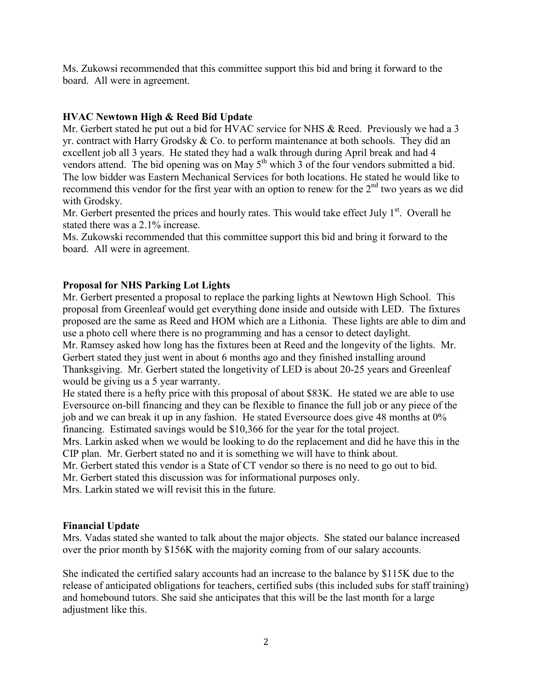Ms. Zukowsi recommended that this committee support this bid and bring it forward to the board. All were in agreement.

# **HVAC Newtown High & Reed Bid Update**

Mr. Gerbert stated he put out a bid for HVAC service for NHS & Reed. Previously we had a 3 yr. contract with Harry Grodsky  $\& Co.$  to perform maintenance at both schools. They did an excellent job all 3 years. He stated they had a walk through during April break and had 4 vendors attend. The bid opening was on May  $5<sup>th</sup>$  which 3 of the four vendors submitted a bid. The low bidder was Eastern Mechanical Services for both locations. He stated he would like to recommend this vendor for the first year with an option to renew for the  $2<sup>nd</sup>$  two years as we did with Grodsky.

Mr. Gerbert presented the prices and hourly rates. This would take effect July 1st. Overall he stated there was a 2.1% increase.

Ms. Zukowski recommended that this committee support this bid and bring it forward to the board. All were in agreement.

# **Proposal for NHS Parking Lot Lights**

Mr. Gerbert presented a proposal to replace the parking lights at Newtown High School. This proposal from Greenleaf would get everything done inside and outside with LED. The fixtures proposed are the same as Reed and HOM which are a Lithonia. These lights are able to dim and use a photo cell where there is no programming and has a censor to detect daylight. Mr. Ramsey asked how long has the fixtures been at Reed and the longevity of the lights. Mr.

Gerbert stated they just went in about 6 months ago and they finished installing around Thanksgiving. Mr. Gerbert stated the longetivity of LED is about 20-25 years and Greenleaf would be giving us a 5 year warranty.

He stated there is a hefty price with this proposal of about \$83K. He stated we are able to use Eversource on-bill financing and they can be flexible to finance the full job or any piece of the job and we can break it up in any fashion. He stated Eversource does give 48 months at 0% financing. Estimated savings would be \$10,366 for the year for the total project.

Mrs. Larkin asked when we would be looking to do the replacement and did he have this in the CIP plan. Mr. Gerbert stated no and it is something we will have to think about.

Mr. Gerbert stated this vendor is a State of CT vendor so there is no need to go out to bid.

Mr. Gerbert stated this discussion was for informational purposes only.

Mrs. Larkin stated we will revisit this in the future.

# **Financial Update**

Mrs. Vadas stated she wanted to talk about the major objects. She stated our balance increased over the prior month by \$156K with the majority coming from of our salary accounts.

She indicated the certified salary accounts had an increase to the balance by \$115K due to the release of anticipated obligations for teachers, certified subs (this included subs for staff training) and homebound tutors. She said she anticipates that this will be the last month for a large adjustment like this.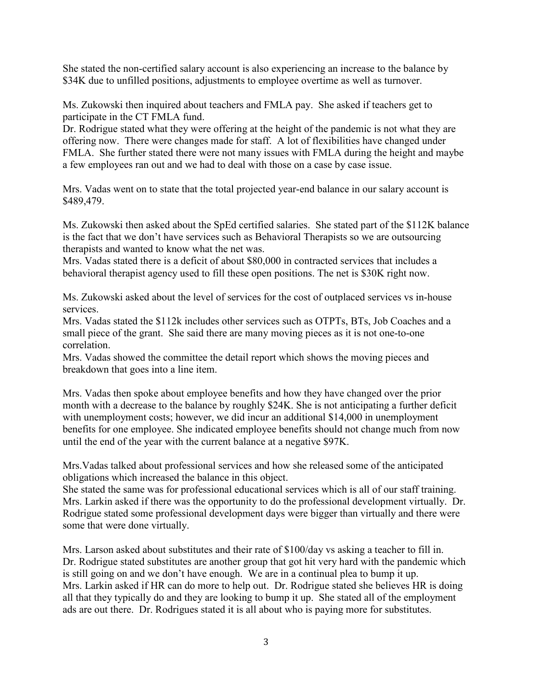She stated the non-certified salary account is also experiencing an increase to the balance by \$34K due to unfilled positions, adjustments to employee overtime as well as turnover.

Ms. Zukowski then inquired about teachers and FMLA pay. She asked if teachers get to participate in the CT FMLA fund.

Dr. Rodrigue stated what they were offering at the height of the pandemic is not what they are offering now. There were changes made for staff. A lot of flexibilities have changed under FMLA. She further stated there were not many issues with FMLA during the height and maybe a few employees ran out and we had to deal with those on a case by case issue.

Mrs. Vadas went on to state that the total projected year-end balance in our salary account is \$489,479.

Ms. Zukowski then asked about the SpEd certified salaries. She stated part of the \$112K balance is the fact that we don't have services such as Behavioral Therapists so we are outsourcing therapists and wanted to know what the net was.

Mrs. Vadas stated there is a deficit of about \$80,000 in contracted services that includes a behavioral therapist agency used to fill these open positions. The net is \$30K right now.

Ms. Zukowski asked about the level of services for the cost of outplaced services vs in-house services.

Mrs. Vadas stated the \$112k includes other services such as OTPTs, BTs, Job Coaches and a small piece of the grant. She said there are many moving pieces as it is not one-to-one correlation.

Mrs. Vadas showed the committee the detail report which shows the moving pieces and breakdown that goes into a line item.

Mrs. Vadas then spoke about employee benefits and how they have changed over the prior month with a decrease to the balance by roughly \$24K. She is not anticipating a further deficit with unemployment costs; however, we did incur an additional \$14,000 in unemployment benefits for one employee. She indicated employee benefits should not change much from now until the end of the year with the current balance at a negative \$97K.

Mrs.Vadas talked about professional services and how she released some of the anticipated obligations which increased the balance in this object.

She stated the same was for professional educational services which is all of our staff training. Mrs. Larkin asked if there was the opportunity to do the professional development virtually. Dr. Rodrigue stated some professional development days were bigger than virtually and there were some that were done virtually.

Mrs. Larson asked about substitutes and their rate of \$100/day vs asking a teacher to fill in. Dr. Rodrigue stated substitutes are another group that got hit very hard with the pandemic which is still going on and we don't have enough. We are in a continual plea to bump it up. Mrs. Larkin asked if HR can do more to help out. Dr. Rodrigue stated she believes HR is doing all that they typically do and they are looking to bump it up. She stated all of the employment ads are out there. Dr. Rodrigues stated it is all about who is paying more for substitutes.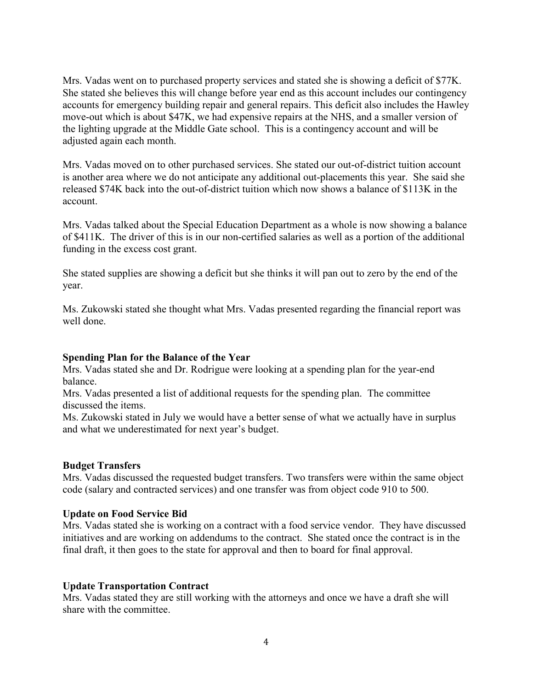Mrs. Vadas went on to purchased property services and stated she is showing a deficit of \$77K. She stated she believes this will change before year end as this account includes our contingency accounts for emergency building repair and general repairs. This deficit also includes the Hawley move-out which is about \$47K, we had expensive repairs at the NHS, and a smaller version of the lighting upgrade at the Middle Gate school. This is a contingency account and will be adjusted again each month.

Mrs. Vadas moved on to other purchased services. She stated our out-of-district tuition account is another area where we do not anticipate any additional out-placements this year. She said she released \$74K back into the out-of-district tuition which now shows a balance of \$113K in the account.

Mrs. Vadas talked about the Special Education Department as a whole is now showing a balance of \$411K. The driver of this is in our non-certified salaries as well as a portion of the additional funding in the excess cost grant.

She stated supplies are showing a deficit but she thinks it will pan out to zero by the end of the year.

Ms. Zukowski stated she thought what Mrs. Vadas presented regarding the financial report was well done.

# **Spending Plan for the Balance of the Year**

Mrs. Vadas stated she and Dr. Rodrigue were looking at a spending plan for the year-end balance.

Mrs. Vadas presented a list of additional requests for the spending plan. The committee discussed the items.

Ms. Zukowski stated in July we would have a better sense of what we actually have in surplus and what we underestimated for next year's budget.

#### **Budget Transfers**

Mrs. Vadas discussed the requested budget transfers. Two transfers were within the same object code (salary and contracted services) and one transfer was from object code 910 to 500.

#### **Update on Food Service Bid**

Mrs. Vadas stated she is working on a contract with a food service vendor. They have discussed initiatives and are working on addendums to the contract. She stated once the contract is in the final draft, it then goes to the state for approval and then to board for final approval.

# **Update Transportation Contract**

Mrs. Vadas stated they are still working with the attorneys and once we have a draft she will share with the committee.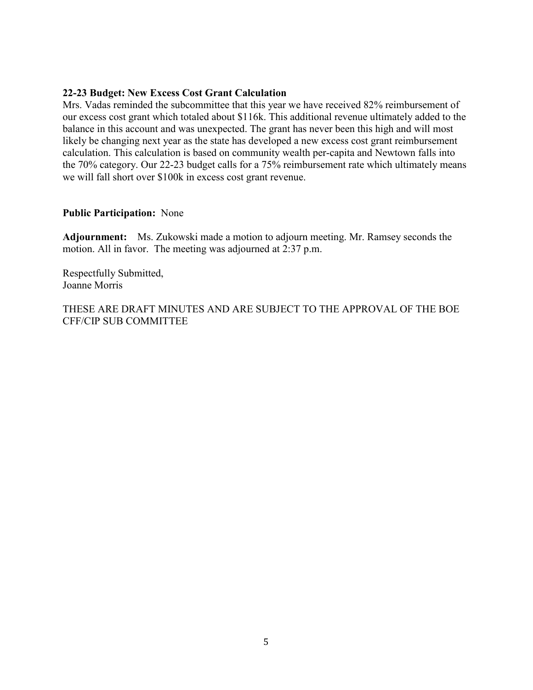## **22-23 Budget: New Excess Cost Grant Calculation**

Mrs. Vadas reminded the subcommittee that this year we have received 82% reimbursement of our excess cost grant which totaled about \$116k. This additional revenue ultimately added to the balance in this account and was unexpected. The grant has never been this high and will most likely be changing next year as the state has developed a new excess cost grant reimbursement calculation. This calculation is based on community wealth per-capita and Newtown falls into the 70% category. Our 22-23 budget calls for a 75% reimbursement rate which ultimately means we will fall short over \$100k in excess cost grant revenue.

### **Public Participation:** None

**Adjournment:** Ms. Zukowski made a motion to adjourn meeting. Mr. Ramsey seconds the motion. All in favor. The meeting was adjourned at 2:37 p.m.

Respectfully Submitted, Joanne Morris

THESE ARE DRAFT MINUTES AND ARE SUBJECT TO THE APPROVAL OF THE BOE CFF/CIP SUB COMMITTEE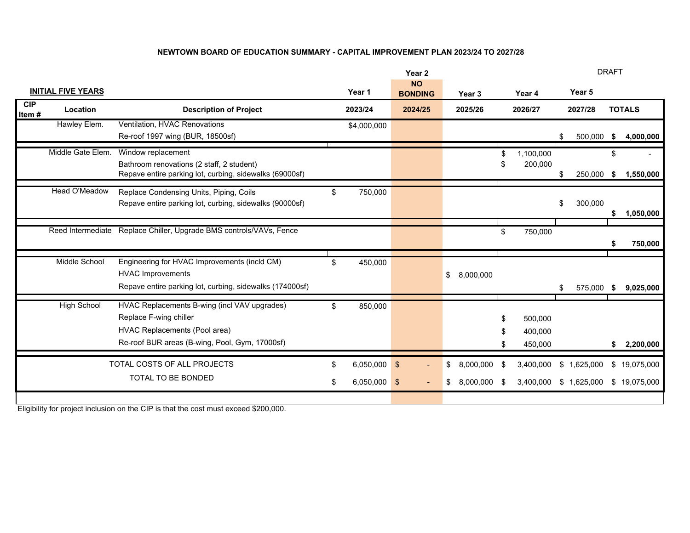#### **NEWTOWN BOARD OF EDUCATION SUMMARY - CAPITAL IMPROVEMENT PLAN 2023/24 TO 2027/28**

|                           |                      |                                                                                                                                                                  |          |                             | Year <sub>2</sub>           |                                    | <b>DRAFT</b> |                               |    |                          |    |                              |
|---------------------------|----------------------|------------------------------------------------------------------------------------------------------------------------------------------------------------------|----------|-----------------------------|-----------------------------|------------------------------------|--------------|-------------------------------|----|--------------------------|----|------------------------------|
| <b>INITIAL FIVE YEARS</b> |                      |                                                                                                                                                                  |          | Year 1                      | <b>NO</b><br><b>BONDING</b> | Year 3                             |              | Year 4                        |    | Year 5                   |    |                              |
| CIP<br>Item#              | Location             | <b>Description of Project</b>                                                                                                                                    |          | 2023/24                     | 2024/25                     | 2025/26                            |              | 2026/27                       |    | 2027/28                  |    | <b>TOTALS</b>                |
|                           | Hawley Elem.         | Ventilation, HVAC Renovations<br>Re-roof 1997 wing (BUR, 18500sf)                                                                                                |          | \$4,000,000                 |                             |                                    |              |                               | \$ | 500,000                  | \$ | 4,000,000                    |
|                           | Middle Gate Elem.    | Window replacement<br>Bathroom renovations (2 staff, 2 student)<br>Repave entire parking lot, curbing, sidewalks (69000sf)                                       |          |                             |                             |                                    |              | 1,100,000<br>200,000          | \$ |                          | \$ | 250,000 \$ 1,550,000         |
|                           | <b>Head O'Meadow</b> | Replace Condensing Units, Piping, Coils<br>Repave entire parking lot, curbing, sidewalks (90000sf)                                                               | \$       | 750,000                     |                             |                                    |              |                               | \$ | 300,000                  | \$ | 1,050,000                    |
|                           | Reed Intermediate    | Replace Chiller, Upgrade BMS controls/VAVs, Fence                                                                                                                |          |                             |                             |                                    | \$           | 750,000                       |    |                          | \$ | 750,000                      |
|                           | Middle School        | Engineering for HVAC Improvements (incld CM)<br><b>HVAC Improvements</b><br>Repave entire parking lot, curbing, sidewalks (174000sf)                             | \$       | 450,000                     |                             | 8,000,000<br>\$                    |              |                               | \$ | 575,000                  | \$ | 9,025,000                    |
|                           | <b>High School</b>   | HVAC Replacements B-wing (incl VAV upgrades)<br>Replace F-wing chiller<br><b>HVAC Replacements (Pool area)</b><br>Re-roof BUR areas (B-wing, Pool, Gym, 17000sf) | \$       | 850,000                     |                             |                                    |              | 500,000<br>400,000<br>450,000 |    |                          | \$ | 2,200,000                    |
|                           |                      | TOTAL COSTS OF ALL PROJECTS<br>TOTAL TO BE BONDED                                                                                                                | \$<br>\$ | 6,050,000<br>$6,050,000$ \$ | $\frac{1}{2}$               | 8,000,000<br>\$<br>8,000,000<br>\$ | -\$          | 3,400,000<br>3,400,000        | \$ | 1,625,000<br>\$1,625,000 |    | \$19,075,000<br>\$19,075,000 |

Eligibility for project inclusion on the CIP is that the cost must exceed \$200,000.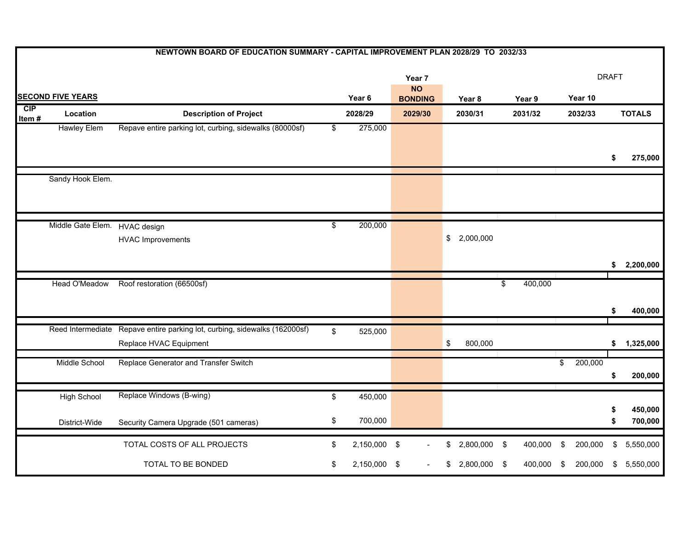|                          | NEWTOWN BOARD OF EDUCATION SUMMARY - CAPITAL IMPROVEMENT PLAN 2028/29 TO 2032/33 |                                                                                                      |                          |                                                 |         |    |              |               |                         |         |    |                    |  |
|--------------------------|----------------------------------------------------------------------------------|------------------------------------------------------------------------------------------------------|--------------------------|-------------------------------------------------|---------|----|--------------|---------------|-------------------------|---------|----|--------------------|--|
| <b>SECOND FIVE YEARS</b> |                                                                                  |                                                                                                      |                          | Year 7<br><b>NO</b><br>Year 6<br><b>BONDING</b> |         |    | Year 8       | Year 9        | <b>DRAFT</b><br>Year 10 |         |    |                    |  |
| CIP                      | Location                                                                         | <b>Description of Project</b>                                                                        |                          | 2028/29                                         | 2029/30 |    | 2030/31      | 2031/32       |                         | 2032/33 |    | <b>TOTALS</b>      |  |
| Item $#$                 | <b>Hawley Elem</b>                                                               | Repave entire parking lot, curbing, sidewalks (80000sf)                                              | $\overline{\mathcal{E}}$ | 275,000                                         |         |    |              |               |                         |         | \$ | 275,000            |  |
|                          | Sandy Hook Elem.                                                                 |                                                                                                      |                          |                                                 |         |    |              |               |                         |         |    |                    |  |
|                          | Middle Gate Elem.                                                                | HVAC design<br><b>HVAC Improvements</b>                                                              | $\overline{\$}$          | 200,000                                         |         | \$ | 2,000,000    |               |                         |         | \$ | 2,200,000          |  |
|                          | Head O'Meadow                                                                    | Roof restoration (66500sf)                                                                           |                          |                                                 |         |    |              | 400,000<br>\$ |                         |         | S  | 400,000            |  |
|                          |                                                                                  | Reed Intermediate Repave entire parking lot, curbing, sidewalks (162000sf)<br>Replace HVAC Equipment | \$                       | 525,000                                         |         | \$ | 800,000      |               |                         |         | \$ | 1,325,000          |  |
|                          | Middle School                                                                    | Replace Generator and Transfer Switch                                                                |                          |                                                 |         |    |              |               | \$                      | 200,000 | \$ | 200,000            |  |
|                          | <b>High School</b><br>District-Wide                                              | Replace Windows (B-wing)<br>Security Camera Upgrade (501 cameras)                                    | \$<br>\$                 | 450,000<br>700,000                              |         |    |              |               |                         |         | \$ | 450,000<br>700,000 |  |
|                          |                                                                                  | TOTAL COSTS OF ALL PROJECTS                                                                          | \$                       | 2,150,000 \$                                    |         | \$ | 2,800,000 \$ | 400,000       | \$                      | 200,000 | \$ | 5,550,000          |  |
|                          |                                                                                  | TOTAL TO BE BONDED                                                                                   | \$                       | 2,150,000 \$                                    |         |    | 2,800,000    | \$<br>400,000 | \$                      | 200,000 | \$ | 5,550,000          |  |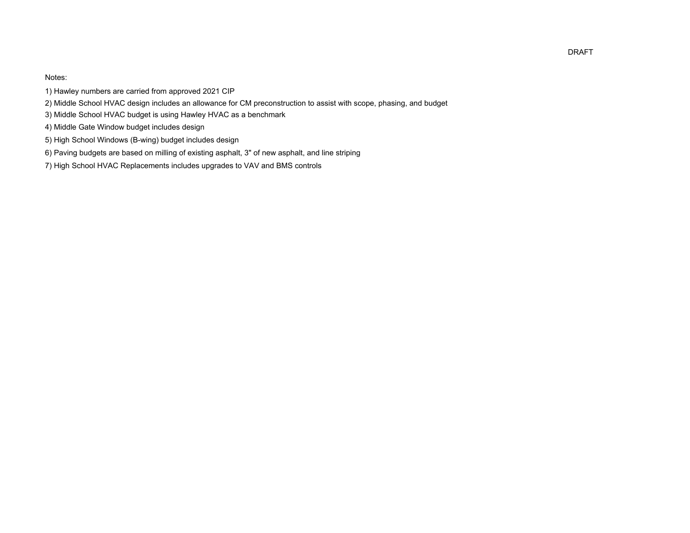Notes:

- 1) Hawley numbers are carried from approved 2021 CIP
- 2) Middle School HVAC design includes an allowance for CM preconstruction to assist with scope, phasing, and budget
- 3) Middle School HVAC budget is using Hawley HVAC as a benchmark
- 4) Middle Gate Window budget includes design
- 5) High School Windows (B-wing) budget includes design
- 6) Paving budgets are based on milling of existing asphalt, 3" of new asphalt, and line striping
- 7) High School HVAC Replacements includes upgrades to VAV and BMS controls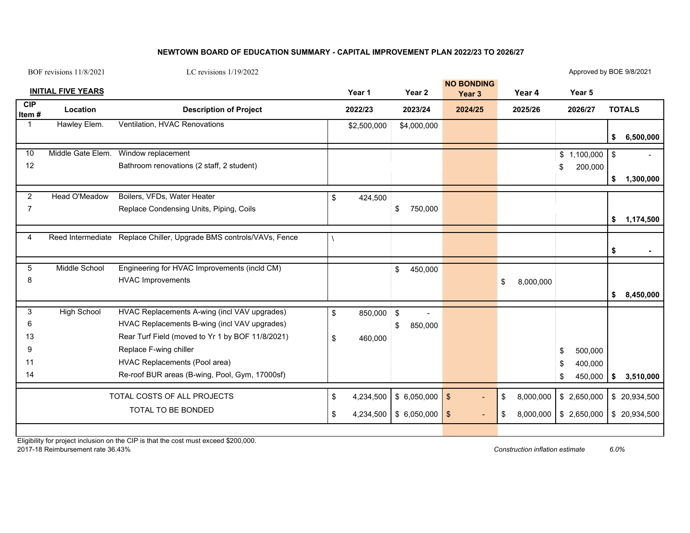#### **NEWTOWN BOARD OF EDUCATION SUMMARY - CAPITAL IMPROVEMENT PLAN 2022/23 TO 2026/27**

| BOF revisions 11/8/2021       |                           | LC revisions $1/19/2022$                                                                                                                                                                                                                                      |          |                        |                                        |        |                                        |          |                        | Approved by BOE 9/8/2021                        |          |                                |
|-------------------------------|---------------------------|---------------------------------------------------------------------------------------------------------------------------------------------------------------------------------------------------------------------------------------------------------------|----------|------------------------|----------------------------------------|--------|----------------------------------------|----------|------------------------|-------------------------------------------------|----------|--------------------------------|
|                               | <b>INITIAL FIVE YEARS</b> |                                                                                                                                                                                                                                                               |          | Year 1                 |                                        | Year 2 | <b>NO BONDING</b><br>Year <sub>3</sub> |          | Year 4                 | Year 5                                          |          |                                |
| <b>CIP</b><br>Item#           | Location                  | <b>Description of Project</b>                                                                                                                                                                                                                                 |          | 2022/23                | 2023/24                                |        | 2024/25                                |          | 2025/26                | 2026/27                                         |          | <b>TOTALS</b>                  |
| 1                             | Hawley Elem.              | Ventilation, HVAC Renovations                                                                                                                                                                                                                                 |          | \$2,500,000            | \$4,000,000                            |        |                                        |          |                        |                                                 | \$       | 6,500,000                      |
| 10<br>12                      | Middle Gate Elem.         | Window replacement<br>Bathroom renovations (2 staff, 2 student)                                                                                                                                                                                               |          |                        |                                        |        |                                        |          |                        | \$1,100,000<br>200,000<br>\$                    | \$<br>\$ | 1,300,000                      |
| $\overline{2}$<br>7           | Head O'Meadow             | Boilers, VFDs, Water Heater<br>Replace Condensing Units, Piping, Coils                                                                                                                                                                                        | \$       | 424,500                | \$<br>750,000                          |        |                                        |          |                        |                                                 | \$       | 1,174,500                      |
| 4                             |                           | Reed Intermediate Replace Chiller, Upgrade BMS controls/VAVs, Fence                                                                                                                                                                                           |          |                        |                                        |        |                                        |          |                        |                                                 | \$       |                                |
| 5<br>8                        | Middle School             | Engineering for HVAC Improvements (incld CM)<br><b>HVAC Improvements</b>                                                                                                                                                                                      |          |                        | \$<br>450,000                          |        |                                        | \$       | 8,000,000              |                                                 | \$       | 8,450,000                      |
| 3<br>6<br>13<br>9<br>11<br>14 | <b>High School</b>        | HVAC Replacements A-wing (incl VAV upgrades)<br>HVAC Replacements B-wing (incl VAV upgrades)<br>Rear Turf Field (moved to Yr 1 by BOF 11/8/2021)<br>Replace F-wing chiller<br>HVAC Replacements (Pool area)<br>Re-roof BUR areas (B-wing, Pool, Gym, 17000sf) | \$<br>\$ | 850,000 \$<br>460,000  | \$<br>850,000                          | ÷,     |                                        |          |                        | \$<br>500,000<br>400,000<br>\$<br>450,000<br>\$ | \$       | 3,510,000                      |
|                               |                           | TOTAL COSTS OF ALL PROJECTS<br>TOTAL TO BE BONDED                                                                                                                                                                                                             | \$<br>\$ | 4,234,500<br>4,234,500 | $$6,050,000$ \ \ \$<br>$$6,050,000$ \$ |        |                                        | \$<br>\$ | 8,000,000<br>8,000,000 | \$2,650,000<br>\$2,650,000                      |          | \$ 20,934,500<br>\$ 20,934,500 |

Eligibility for project inclusion on the CIP is that the cost must exceed \$200,000. 2017-18 Reimbursement rate 36.43% *Construction inflation estimate 6.0%*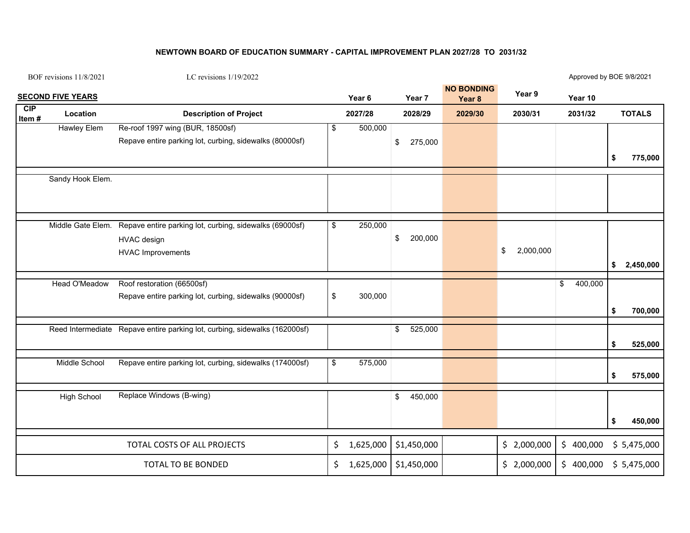#### **NEWTOWN BOARD OF EDUCATION SUMMARY - CAPITAL IMPROVEMENT PLAN 2027/28 TO 2031/32**

BOF revisions 11/8/2021

LC revisions 1/19/2022

Approved by BOE 9/8/2021

|                 | <b>SECOND FIVE YEARS</b> |                                                                            |                         | Year <sub>6</sub> | Year 7        | <b>NO BONDING</b><br>Year <sub>8</sub> | Year 9          | Year 10       |               |             |
|-----------------|--------------------------|----------------------------------------------------------------------------|-------------------------|-------------------|---------------|----------------------------------------|-----------------|---------------|---------------|-------------|
| CIP<br>Item $#$ | Location                 | <b>Description of Project</b>                                              |                         | 2027/28           | 2028/29       | 2029/30                                | 2030/31         | 2031/32       | <b>TOTALS</b> |             |
|                 | <b>Hawley Elem</b>       | Re-roof 1997 wing (BUR, 18500sf)                                           | \$                      | 500,000           |               |                                        |                 |               |               |             |
|                 |                          | Repave entire parking lot, curbing, sidewalks (80000sf)                    |                         |                   | \$<br>275,000 |                                        |                 |               |               |             |
|                 |                          |                                                                            |                         |                   |               |                                        |                 |               | \$            | 775,000     |
|                 | Sandy Hook Elem.         |                                                                            |                         |                   |               |                                        |                 |               |               |             |
|                 |                          |                                                                            |                         |                   |               |                                        |                 |               |               |             |
|                 | Middle Gate Elem.        | Repave entire parking lot, curbing, sidewalks (69000sf)                    | $\sqrt[6]{\frac{1}{2}}$ | 250,000           |               |                                        |                 |               |               |             |
|                 |                          | <b>HVAC</b> design                                                         |                         |                   | \$<br>200,000 |                                        |                 |               |               |             |
|                 |                          | <b>HVAC Improvements</b>                                                   |                         |                   |               |                                        | 2,000,000<br>\$ |               |               |             |
|                 |                          |                                                                            |                         |                   |               |                                        |                 |               | \$            | 2,450,000   |
|                 | Head O'Meadow            | Roof restoration (66500sf)                                                 |                         |                   |               |                                        |                 | \$<br>400,000 |               |             |
|                 |                          | Repave entire parking lot, curbing, sidewalks (90000sf)                    | $$\mathbb{S}$$          | 300,000           |               |                                        |                 |               |               |             |
|                 |                          |                                                                            |                         |                   |               |                                        |                 |               | \$            | 700,000     |
|                 |                          |                                                                            |                         |                   |               |                                        |                 |               |               |             |
|                 |                          | Reed Intermediate Repave entire parking lot, curbing, sidewalks (162000sf) |                         |                   | \$<br>525,000 |                                        |                 |               |               |             |
|                 |                          |                                                                            |                         |                   |               |                                        |                 |               | \$            | 525,000     |
|                 | Middle School            | Repave entire parking lot, curbing, sidewalks (174000sf)                   | $\sqrt[6]{\frac{1}{2}}$ | 575,000           |               |                                        |                 |               |               |             |
|                 |                          |                                                                            |                         |                   |               |                                        |                 |               | \$            | 575,000     |
|                 | <b>High School</b>       | Replace Windows (B-wing)                                                   |                         |                   | \$<br>450,000 |                                        |                 |               |               |             |
|                 |                          |                                                                            |                         |                   |               |                                        |                 |               |               |             |
|                 |                          |                                                                            |                         |                   |               |                                        |                 |               | \$            | 450,000     |
|                 |                          | TOTAL COSTS OF ALL PROJECTS                                                | \$                      | 1,625,000         | \$1,450,000   |                                        | \$2,000,000     | \$400,000     |               | \$5,475,000 |
|                 |                          | <b>TOTAL TO BE BONDED</b>                                                  | \$.                     | 1,625,000         | \$1,450,000   |                                        | \$2,000,000     | \$400,000     |               | \$5,475,000 |